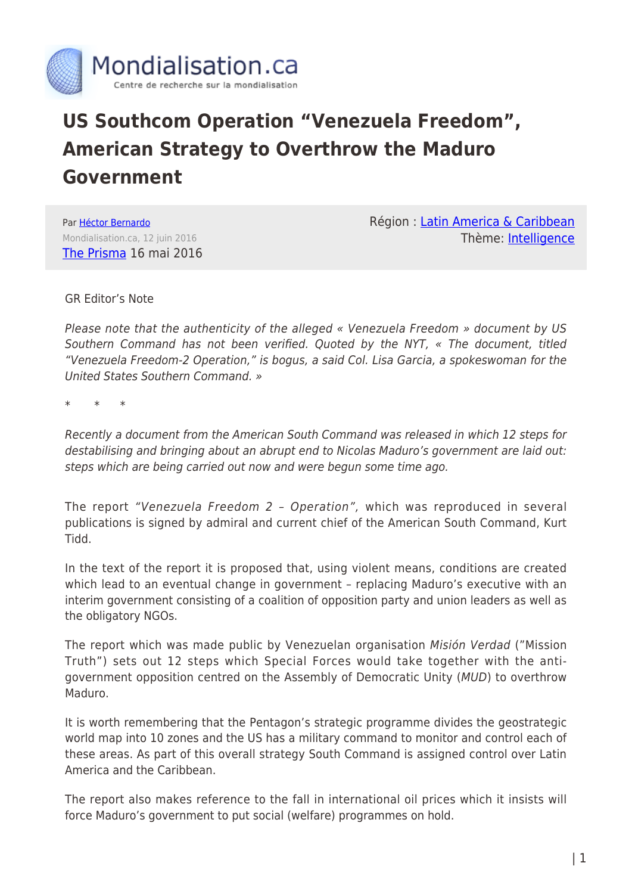

## **US Southcom Operation "Venezuela Freedom", American Strategy to Overthrow the Maduro Government**

Par [Héctor Bernardo](https://www.mondialisation.ca/author/bernardo) Mondialisation.ca, 12 juin 2016 [The Prisma](http://theprisma.co.uk) 16 mai 2016 Région : [Latin America & Caribbean](https://www.mondialisation.ca/region/latin-america-caribbean) Thème: [Intelligence](https://www.mondialisation.ca/theme/intelligence)

GR Editor's Note

Please note that the authenticity of the alleged « Venezuela Freedom » document by US Southern Command has not been verified. Quoted by the NYT, « The document, titled "Venezuela Freedom-2 Operation," is bogus, a said Col. Lisa Garcia, a spokeswoman for the United States Southern Command. »

\* \* \*

Recently a document from the American South Command was released in which 12 steps for destabilising and bringing about an abrupt end to Nicolas Maduro's government are laid out: steps which are being carried out now and were begun some time ago.

The report "Venezuela Freedom 2 – Operation", which was reproduced in several publications is signed by admiral and current chief of the American South Command, Kurt Tidd.

In the text of the report it is proposed that, using violent means, conditions are created which lead to an eventual change in government – replacing Maduro's executive with an interim government consisting of a coalition of opposition party and union leaders as well as the obligatory NGOs.

The report which was made public by Venezuelan organisation Misión Verdad ("Mission Truth") sets out 12 steps which Special Forces would take together with the antigovernment opposition centred on the Assembly of Democratic Unity (MUD) to overthrow Maduro.

It is worth remembering that the Pentagon's strategic programme divides the geostrategic world map into 10 zones and the US has a military command to monitor and control each of these areas. As part of this overall strategy South Command is assigned control over Latin America and the Caribbean.

The report also makes reference to the fall in international oil prices which it insists will force Maduro's government to put social (welfare) programmes on hold.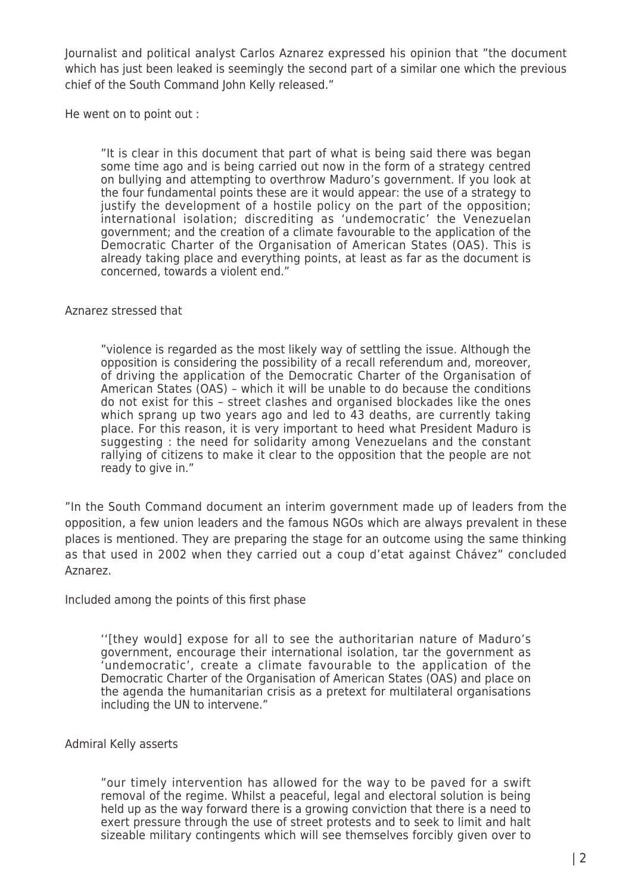Journalist and political analyst Carlos Aznarez expressed his opinion that "the document which has just been leaked is seemingly the second part of a similar one which the previous chief of the South Command John Kelly released."

He went on to point out :

"It is clear in this document that part of what is being said there was began some time ago and is being carried out now in the form of a strategy centred on bullying and attempting to overthrow Maduro's government. If you look at the four fundamental points these are it would appear: the use of a strategy to justify the development of a hostile policy on the part of the opposition; international isolation; discrediting as 'undemocratic' the Venezuelan government; and the creation of a climate favourable to the application of the Democratic Charter of the Organisation of American States (OAS). This is already taking place and everything points, at least as far as the document is concerned, towards a violent end."

Aznarez stressed that

"violence is regarded as the most likely way of settling the issue. Although the opposition is considering the possibility of a recall referendum and, moreover, of driving the application of the Democratic Charter of the Organisation of American States (OAS) – which it will be unable to do because the conditions do not exist for this – street clashes and organised blockades like the ones which sprang up two years ago and led to 43 deaths, are currently taking place. For this reason, it is very important to heed what President Maduro is suggesting : the need for solidarity among Venezuelans and the constant rallying of citizens to make it clear to the opposition that the people are not ready to give in."

"In the South Command document an interim government made up of leaders from the opposition, a few union leaders and the famous NGOs which are always prevalent in these places is mentioned. They are preparing the stage for an outcome using the same thinking as that used in 2002 when they carried out a coup d'etat against Chávez" concluded Aznarez.

Included among the points of this first phase

''[they would] expose for all to see the authoritarian nature of Maduro's government, encourage their international isolation, tar the government as 'undemocratic', create a climate favourable to the application of the Democratic Charter of the Organisation of American States (OAS) and place on the agenda the humanitarian crisis as a pretext for multilateral organisations including the UN to intervene."

Admiral Kelly asserts

"our timely intervention has allowed for the way to be paved for a swift removal of the regime. Whilst a peaceful, legal and electoral solution is being held up as the way forward there is a growing conviction that there is a need to exert pressure through the use of street protests and to seek to limit and halt sizeable military contingents which will see themselves forcibly given over to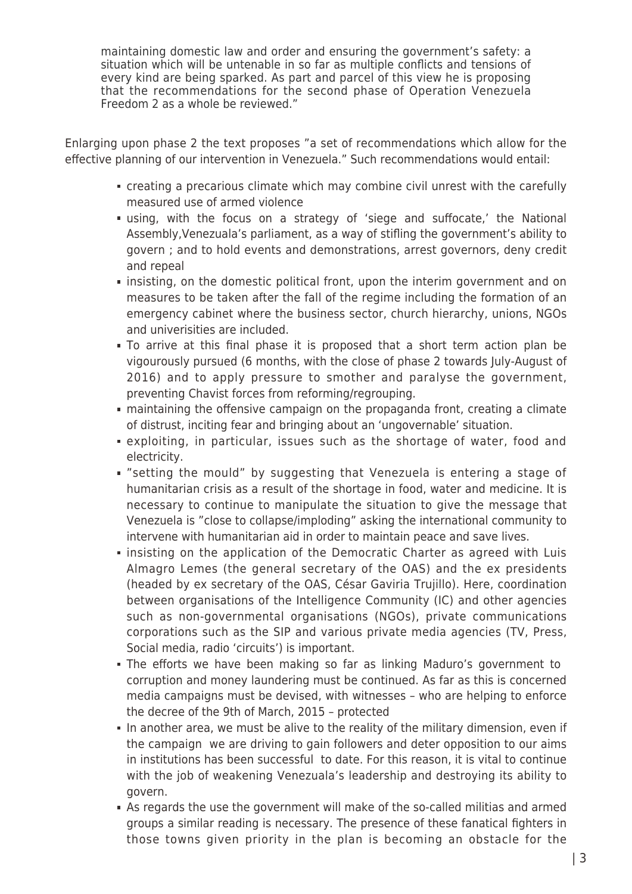maintaining domestic law and order and ensuring the government's safety: a situation which will be untenable in so far as multiple conflicts and tensions of every kind are being sparked. As part and parcel of this view he is proposing that the recommendations for the second phase of Operation Venezuela Freedom 2 as a whole be reviewed."

Enlarging upon phase 2 the text proposes "a set of recommendations which allow for the effective planning of our intervention in Venezuela." Such recommendations would entail:

- creating a precarious climate which may combine civil unrest with the carefully measured use of armed violence
- using, with the focus on a strategy of 'siege and suffocate,' the National Assembly,Venezuala's parliament, as a way of stifling the government's ability to govern ; and to hold events and demonstrations, arrest governors, deny credit and repeal
- **Example 1** insisting, on the domestic political front, upon the interim government and on measures to be taken after the fall of the regime including the formation of an emergency cabinet where the business sector, church hierarchy, unions, NGOs and univerisities are included.
- To arrive at this final phase it is proposed that a short term action plan be vigourously pursued (6 months, with the close of phase 2 towards July-August of 2016) and to apply pressure to smother and paralyse the government, preventing Chavist forces from reforming/regrouping.
- maintaining the offensive campaign on the propaganda front, creating a climate of distrust, inciting fear and bringing about an 'ungovernable' situation.
- exploiting, in particular, issues such as the shortage of water, food and electricity.
- "setting the mould" by suggesting that Venezuela is entering a stage of humanitarian crisis as a result of the shortage in food, water and medicine. It is necessary to continue to manipulate the situation to give the message that Venezuela is "close to collapse/imploding" asking the international community to intervene with humanitarian aid in order to maintain peace and save lives.
- **Example insisting on the application of the Democratic Charter as agreed with Luis** Almagro Lemes (the general secretary of the OAS) and the ex presidents (headed by ex secretary of the OAS, César Gaviria Trujillo). Here, coordination between organisations of the Intelligence Community (IC) and other agencies such as non-governmental organisations (NGOs), private communications corporations such as the SIP and various private media agencies (TV, Press, Social media, radio 'circuits') is important.
- The efforts we have been making so far as linking Maduro's government to corruption and money laundering must be continued. As far as this is concerned media campaigns must be devised, with witnesses – who are helping to enforce the decree of the 9th of March, 2015 – protected
- In another area, we must be alive to the reality of the military dimension, even if the campaign we are driving to gain followers and deter opposition to our aims in institutions has been successful to date. For this reason, it is vital to continue with the job of weakening Venezuala's leadership and destroying its ability to govern.
- As regards the use the government will make of the so-called militias and armed groups a similar reading is necessary. The presence of these fanatical fighters in those towns given priority in the plan is becoming an obstacle for the